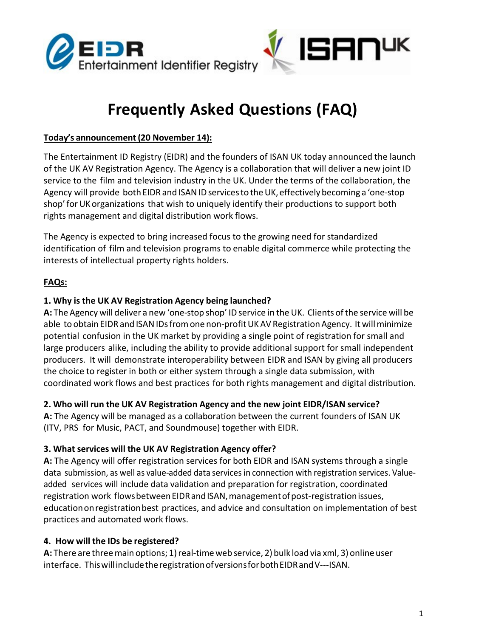



# **Frequently Asked Questions (FAQ)**

#### **Today's announcement(20 November 14):**

The Entertainment ID Registry (EIDR) and the founders of ISAN UK today announced the launch of the UK AV Registration Agency. The Agency is a collaboration that will deliver a new joint ID service to the film and television industry in the UK. Under the terms of the collaboration, the Agency will provide both EIDR and ISAN ID services to the UK, effectively becoming a 'one-stop shop' for UK organizations that wish to uniquely identify their productions to support both rights management and digital distribution work flows.

The Agency is expected to bring increased focus to the growing need for standardized identification of film and television programs to enable digital commerce while protecting the interests of intellectual property rights holders.

# **FAQs:**

#### **1. Why is the UK AV Registration Agency being launched?**

**A:** TheAgency will deliver a new 'one-stop shop' IDservice in the UK. Clients ofthe service will be able to obtain EIDR and ISAN IDs from one non-profit UKAV Registration Agency. It will minimize potential confusion in the UK market by providing a single point of registration for small and large producers alike, including the ability to provide additional support for small independent producers. It will demonstrate interoperability between EIDR and ISAN by giving all producers the choice to register in both or either system through a single data submission, with coordinated work flows and best practices for both rights management and digital distribution.

#### **2. Who will run the UK AV Registration Agency and the new joint EIDR/ISAN service?**

**A:** The Agency will be managed as a collaboration between the current founders of ISAN UK (ITV, PRS for Music, PACT, and Soundmouse) together with EIDR.

#### **3. What services will the UK AV Registration Agency offer?**

**A:** The Agency will offer registration services for both EIDR and ISAN systems through a single data submission, as well as value-added data servicesin connection with registration services. Valueadded services will include data validation and preparation for registration, coordinated registration work flows between EIDR and ISAN, management of post-registration issues, educationonregistrationbest practices, and advice and consultation on implementation of best practices and automated work flows.

#### **4. How will the IDs be registered?**

A: There are three main options; 1) real-time web service, 2) bulk load via xml, 3) online user interface. This will include the registration of versions for both EIDR and V---ISAN.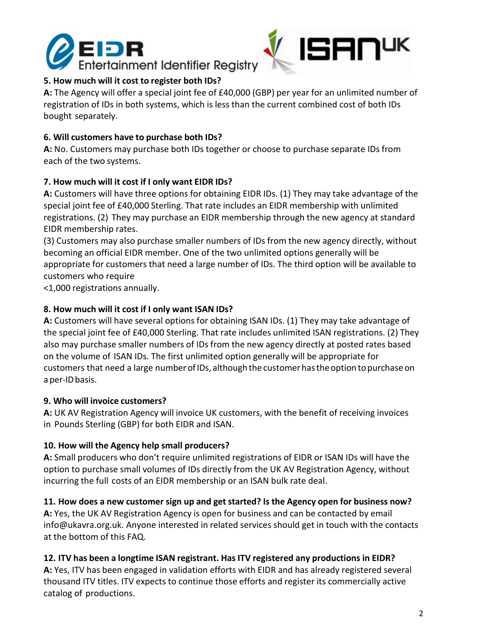



# **5. How much will it cost to register both IDs?**

**A:** The Agency will offer a special joint fee of £40,000 (GBP) per year for an unlimited number of registration of IDs in both systems, which is less than the current combined cost of both IDs bought separately.

## **6. Will customers have to purchase both IDs?**

**A:** No. Customers may purchase both IDs together or choose to purchase separate IDs from each of the two systems.

# **7. How much will it cost if I only want EIDR IDs?**

**A:** Customers will have three options for obtaining EIDR IDs. (1) They may take advantage of the special joint fee of £40,000 Sterling. That rate includes an EIDR membership with unlimited registrations. (2) They may purchase an EIDR membership through the new agency at standard EIDR membership rates.

(3) Customers may also purchase smaller numbers of IDs from the new agency directly, without becoming an official EIDR member. One of the two unlimited options generally will be appropriate for customers that need a large number of IDs. The third option will be available to customers who require

<1,000 registrations annually.

# **8. How much will it cost if I only want ISAN IDs?**

**A:** Customers will have several options for obtaining ISAN IDs. (1) They may take advantage of the special joint fee of £40,000 Sterling. That rate includes unlimited ISAN registrations. (2) They also may purchase smaller numbers of IDs from the new agency directly at posted rates based on the volume of ISAN IDs. The first unlimited option generally will be appropriate for customers that need a large number of IDs, although the customer has the option to purchase on a per-ID basis.

#### **9. Who will invoice customers?**

**A:** UK AV Registration Agency will invoice UK customers, with the benefit of receiving invoices in Pounds Sterling (GBP) for both EIDR and ISAN.

# **10. How will the Agency help small producers?**

**A:** Small producers who don't require unlimited registrations of EIDR or ISAN IDs will have the option to purchase small volumes of IDs directly from the UK AV Registration Agency, without incurring the full costs of an EIDR membership or an ISAN bulk rate deal.

# **11. How does a new customer sign up and get started? Is the Agency open for business now?**

**A:** Yes, the UK AV Registration Agency is open for business and can be contacted by emai[l](mailto:info@ukavra.org.uk) [info@ukavra.org.uk.](mailto:info@ukavra.org.uk) Anyone interested in related services should get in touch with the contacts at the bottom of this FAQ.

#### **12. ITV has been a longtime ISAN registrant. Has ITV registered any productions in EIDR?**

**A:** Yes, ITV has been engaged in validation efforts with EIDR and has already registered several thousand ITV titles. ITV expects to continue those efforts and register its commercially active catalog of productions.